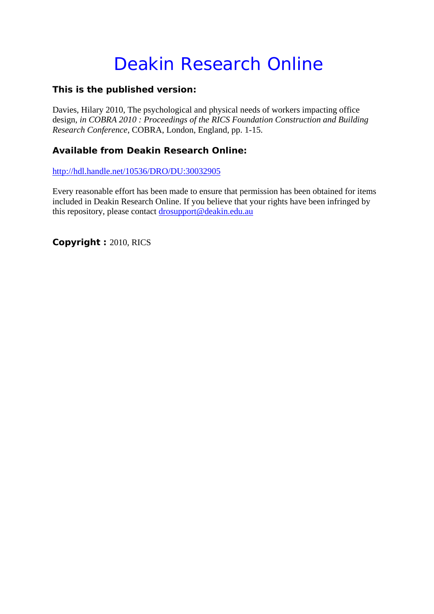# Deakin Research Online

### **This is the published version:**

Davies, Hilary 2010, The psychological and physical needs of workers impacting office design*, in COBRA 2010 : Proceedings of the RICS Foundation Construction and Building Research Conference*, COBRA, London, England, pp. 1-15.

## **Available from Deakin Research Online:**

http://hdl.handle.net/10536/DRO/DU:30032905

Every reasonable effort has been made to ensure that permission has been obtained for items included in Deakin Research Online. If you believe that your rights have been infringed by this repository, please contact drosupport@deakin.edu.au

**Copyright :** 2010, RICS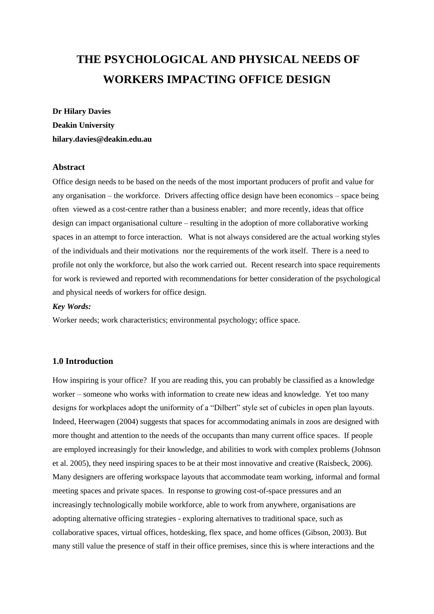# **THE PSYCHOLOGICAL AND PHYSICAL NEEDS OF WORKERS IMPACTING OFFICE DESIGN**

# **Dr Hilary Davies Deakin University hilary.davies@deakin.edu.au**

#### **Abstract**

Office design needs to be based on the needs of the most important producers of profit and value for any organisation – the workforce. Drivers affecting office design have been economics – space being often viewed as a cost-centre rather than a business enabler; and more recently, ideas that office design can impact organisational culture – resulting in the adoption of more collaborative working spaces in an attempt to force interaction. What is not always considered are the actual working styles of the individuals and their motivations nor the requirements of the work itself. There is a need to profile not only the workforce, but also the work carried out. Recent research into space requirements for work is reviewed and reported with recommendations for better consideration of the psychological and physical needs of workers for office design.

#### *Key Words:*

Worker needs; work characteristics; environmental psychology; office space.

#### **1.0 Introduction**

How inspiring is your office? If you are reading this, you can probably be classified as a knowledge worker – someone who works with information to create new ideas and knowledge. Yet too many designs for workplaces adopt the uniformity of a "Dilbert" style set of cubicles in open plan layouts. Indeed, Heerwagen (2004) suggests that spaces for accommodating animals in zoos are designed with more thought and attention to the needs of the occupants than many current office spaces. If people are employed increasingly for their knowledge, and abilities to work with complex problems (Johnson et al. 2005), they need inspiring spaces to be at their most innovative and creative (Raisbeck, 2006). Many designers are offering workspace layouts that accommodate team working, informal and formal meeting spaces and private spaces. In response to growing cost-of-space pressures and an increasingly technologically mobile workforce, able to work from anywhere, organisations are adopting alternative officing strategies - exploring alternatives to traditional space, such as collaborative spaces, virtual offices, hotdesking, flex space, and home offices (Gibson, 2003). But many still value the presence of staff in their office premises, since this is where interactions and the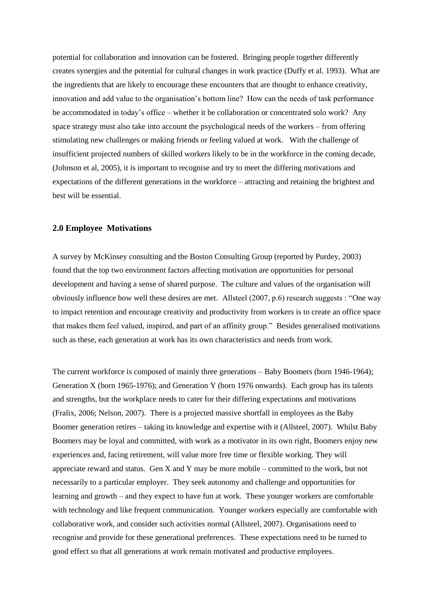potential for collaboration and innovation can be fostered. Bringing people together differently creates synergies and the potential for cultural changes in work practice (Duffy et al. 1993). What are the ingredients that are likely to encourage these encounters that are thought to enhance creativity, innovation and add value to the organisation"s bottom line? How can the needs of task performance be accommodated in today"s office – whether it be collaboration or concentrated solo work? Any space strategy must also take into account the psychological needs of the workers – from offering stimulating new challenges or making friends or feeling valued at work. With the challenge of insufficient projected numbers of skilled workers likely to be in the workforce in the coming decade, (Johnson et al, 2005), it is important to recognise and try to meet the differing motivations and expectations of the different generations in the workforce – attracting and retaining the brightest and best will be essential.

#### **2.0 Employee Motivations**

A survey by McKinsey consulting and the Boston Consulting Group (reported by Purdey, 2003) found that the top two environment factors affecting motivation are opportunities for personal development and having a sense of shared purpose. The culture and values of the organisation will obviously influence how well these desires are met. Allsteel (2007, p.6) research suggests : "One way to impact retention and encourage creativity and productivity from workers is to create an office space that makes them feel valued, inspired, and part of an affinity group." Besides generalised motivations such as these, each generation at work has its own characteristics and needs from work.

The current workforce is composed of mainly three generations – Baby Boomers (born 1946-1964); Generation X (born 1965-1976); and Generation Y (born 1976 onwards). Each group has its talents and strengths, but the workplace needs to cater for their differing expectations and motivations (Fralix, 2006; Nelson, 2007). There is a projected massive shortfall in employees as the Baby Boomer generation retires – taking its knowledge and expertise with it (Allsteel, 2007). Whilst Baby Boomers may be loyal and committed, with work as a motivator in its own right, Boomers enjoy new experiences and, facing retirement, will value more free time or flexible working. They will appreciate reward and status. Gen  $X$  and  $Y$  may be more mobile – committed to the work, but not necessarily to a particular employer. They seek autonomy and challenge and opportunities for learning and growth – and they expect to have fun at work. These younger workers are comfortable with technology and like frequent communication. Younger workers especially are comfortable with collaborative work, and consider such activities normal (Allsteel, 2007). Organisations need to recognise and provide for these generational preferences. These expectations need to be turned to good effect so that all generations at work remain motivated and productive employees.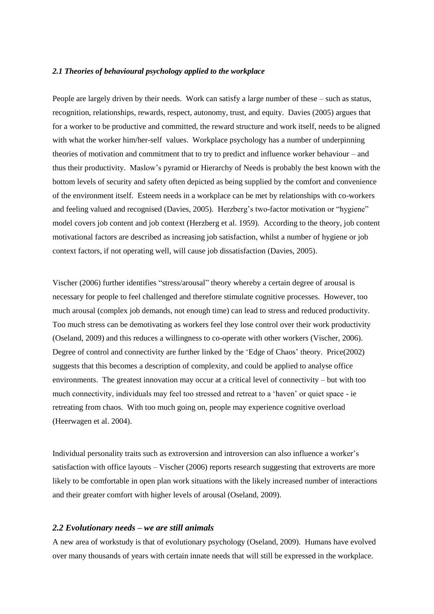#### *2.1 Theories of behavioural psychology applied to the workplace*

People are largely driven by their needs. Work can satisfy a large number of these – such as status, recognition, relationships, rewards, respect, autonomy, trust, and equity. Davies (2005) argues that for a worker to be productive and committed, the reward structure and work itself, needs to be aligned with what the worker him/her-self values. Workplace psychology has a number of underpinning theories of motivation and commitment that to try to predict and influence worker behaviour – and thus their productivity. Maslow"s pyramid or Hierarchy of Needs is probably the best known with the bottom levels of security and safety often depicted as being supplied by the comfort and convenience of the environment itself. Esteem needs in a workplace can be met by relationships with co-workers and feeling valued and recognised (Davies, 2005). Herzberg's two-factor motivation or "hygiene" model covers job content and job context (Herzberg et al. 1959). According to the theory, job content motivational factors are described as increasing job satisfaction, whilst a number of hygiene or job context factors, if not operating well, will cause job dissatisfaction (Davies, 2005).

Vischer (2006) further identifies "stress/arousal" theory whereby a certain degree of arousal is necessary for people to feel challenged and therefore stimulate cognitive processes. However, too much arousal (complex job demands, not enough time) can lead to stress and reduced productivity. Too much stress can be demotivating as workers feel they lose control over their work productivity (Oseland, 2009) and this reduces a willingness to co-operate with other workers (Vischer, 2006). Degree of control and connectivity are further linked by the 'Edge of Chaos' theory. Price(2002) suggests that this becomes a description of complexity, and could be applied to analyse office environments. The greatest innovation may occur at a critical level of connectivity – but with too much connectivity, individuals may feel too stressed and retreat to a "haven" or quiet space - ie retreating from chaos. With too much going on, people may experience cognitive overload (Heerwagen et al. 2004).

Individual personality traits such as extroversion and introversion can also influence a worker"s satisfaction with office layouts – Vischer (2006) reports research suggesting that extroverts are more likely to be comfortable in open plan work situations with the likely increased number of interactions and their greater comfort with higher levels of arousal (Oseland, 2009).

#### *2.2 Evolutionary needs – we are still animals*

A new area of workstudy is that of evolutionary psychology (Oseland, 2009). Humans have evolved over many thousands of years with certain innate needs that will still be expressed in the workplace.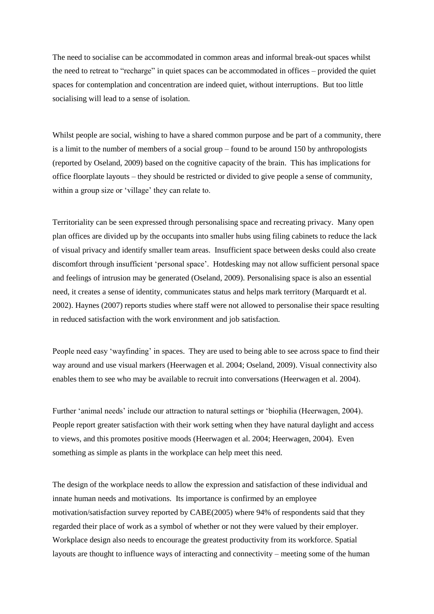The need to socialise can be accommodated in common areas and informal break-out spaces whilst the need to retreat to "recharge" in quiet spaces can be accommodated in offices – provided the quiet spaces for contemplation and concentration are indeed quiet, without interruptions. But too little socialising will lead to a sense of isolation.

Whilst people are social, wishing to have a shared common purpose and be part of a community, there is a limit to the number of members of a social group – found to be around 150 by anthropologists (reported by Oseland, 2009) based on the cognitive capacity of the brain. This has implications for office floorplate layouts – they should be restricted or divided to give people a sense of community, within a group size or 'village' they can relate to.

Territoriality can be seen expressed through personalising space and recreating privacy. Many open plan offices are divided up by the occupants into smaller hubs using filing cabinets to reduce the lack of visual privacy and identify smaller team areas. Insufficient space between desks could also create discomfort through insufficient "personal space". Hotdesking may not allow sufficient personal space and feelings of intrusion may be generated (Oseland, 2009). Personalising space is also an essential need, it creates a sense of identity, communicates status and helps mark territory (Marquardt et al. 2002). Haynes (2007) reports studies where staff were not allowed to personalise their space resulting in reduced satisfaction with the work environment and job satisfaction.

People need easy 'wayfinding' in spaces. They are used to being able to see across space to find their way around and use visual markers (Heerwagen et al. 2004; Oseland, 2009). Visual connectivity also enables them to see who may be available to recruit into conversations (Heerwagen et al. 2004).

Further "animal needs" include our attraction to natural settings or "biophilia (Heerwagen, 2004). People report greater satisfaction with their work setting when they have natural daylight and access to views, and this promotes positive moods (Heerwagen et al. 2004; Heerwagen, 2004). Even something as simple as plants in the workplace can help meet this need.

The design of the workplace needs to allow the expression and satisfaction of these individual and innate human needs and motivations. Its importance is confirmed by an employee motivation/satisfaction survey reported by CABE(2005) where 94% of respondents said that they regarded their place of work as a symbol of whether or not they were valued by their employer. Workplace design also needs to encourage the greatest productivity from its workforce. Spatial layouts are thought to influence ways of interacting and connectivity – meeting some of the human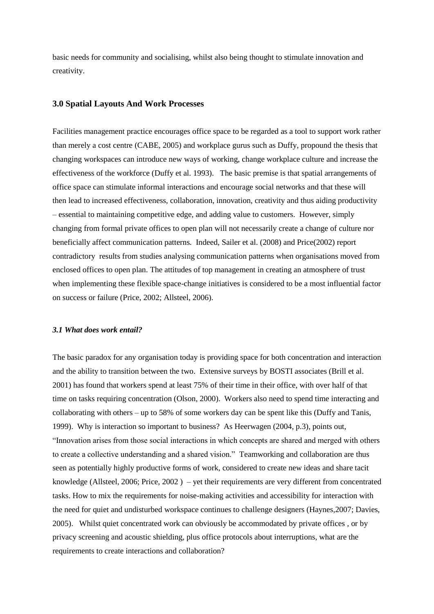basic needs for community and socialising, whilst also being thought to stimulate innovation and creativity.

#### **3.0 Spatial Layouts And Work Processes**

Facilities management practice encourages office space to be regarded as a tool to support work rather than merely a cost centre (CABE, 2005) and workplace gurus such as Duffy, propound the thesis that changing workspaces can introduce new ways of working, change workplace culture and increase the effectiveness of the workforce (Duffy et al. 1993). The basic premise is that spatial arrangements of office space can stimulate informal interactions and encourage social networks and that these will then lead to increased effectiveness, collaboration, innovation, creativity and thus aiding productivity – essential to maintaining competitive edge, and adding value to customers. However, simply changing from formal private offices to open plan will not necessarily create a change of culture nor beneficially affect communication patterns. Indeed, Sailer et al. (2008) and Price(2002) report contradictory results from studies analysing communication patterns when organisations moved from enclosed offices to open plan. The attitudes of top management in creating an atmosphere of trust when implementing these flexible space-change initiatives is considered to be a most influential factor on success or failure (Price, 2002; Allsteel, 2006).

#### *3.1 What does work entail?*

The basic paradox for any organisation today is providing space for both concentration and interaction and the ability to transition between the two. Extensive surveys by BOSTI associates (Brill et al. 2001) has found that workers spend at least 75% of their time in their office, with over half of that time on tasks requiring concentration (Olson, 2000). Workers also need to spend time interacting and collaborating with others – up to 58% of some workers day can be spent like this (Duffy and Tanis, 1999). Why is interaction so important to business? As Heerwagen (2004, p.3), points out, "Innovation arises from those social interactions in which concepts are shared and merged with others to create a collective understanding and a shared vision." Teamworking and collaboration are thus seen as potentially highly productive forms of work, considered to create new ideas and share tacit knowledge (Allsteel, 2006; Price, 2002 ) – yet their requirements are very different from concentrated tasks. How to mix the requirements for noise-making activities and accessibility for interaction with the need for quiet and undisturbed workspace continues to challenge designers (Haynes,2007; Davies, 2005). Whilst quiet concentrated work can obviously be accommodated by private offices , or by privacy screening and acoustic shielding, plus office protocols about interruptions, what are the requirements to create interactions and collaboration?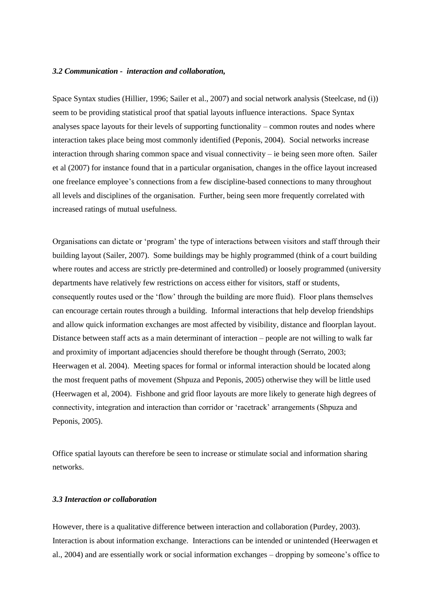#### *3.2 Communication - interaction and collaboration,*

Space Syntax studies (Hillier, 1996; Sailer et al., 2007) and social network analysis (Steelcase, nd (i)) seem to be providing statistical proof that spatial layouts influence interactions. Space Syntax analyses space layouts for their levels of supporting functionality – common routes and nodes where interaction takes place being most commonly identified (Peponis, 2004). Social networks increase interaction through sharing common space and visual connectivity – ie being seen more often. Sailer et al (2007) for instance found that in a particular organisation, changes in the office layout increased one freelance employee"s connections from a few discipline-based connections to many throughout all levels and disciplines of the organisation. Further, being seen more frequently correlated with increased ratings of mutual usefulness.

Organisations can dictate or "program" the type of interactions between visitors and staff through their building layout (Sailer, 2007). Some buildings may be highly programmed (think of a court building where routes and access are strictly pre-determined and controlled) or loosely programmed (university departments have relatively few restrictions on access either for visitors, staff or students, consequently routes used or the "flow" through the building are more fluid). Floor plans themselves can encourage certain routes through a building. Informal interactions that help develop friendships and allow quick information exchanges are most affected by visibility, distance and floorplan layout. Distance between staff acts as a main determinant of interaction – people are not willing to walk far and proximity of important adjacencies should therefore be thought through (Serrato, 2003; Heerwagen et al. 2004). Meeting spaces for formal or informal interaction should be located along the most frequent paths of movement (Shpuza and Peponis, 2005) otherwise they will be little used (Heerwagen et al, 2004). Fishbone and grid floor layouts are more likely to generate high degrees of connectivity, integration and interaction than corridor or "racetrack" arrangements (Shpuza and Peponis, 2005).

Office spatial layouts can therefore be seen to increase or stimulate social and information sharing networks.

#### *3.3 Interaction or collaboration*

However, there is a qualitative difference between interaction and collaboration (Purdey, 2003). Interaction is about information exchange. Interactions can be intended or unintended (Heerwagen et al., 2004) and are essentially work or social information exchanges – dropping by someone"s office to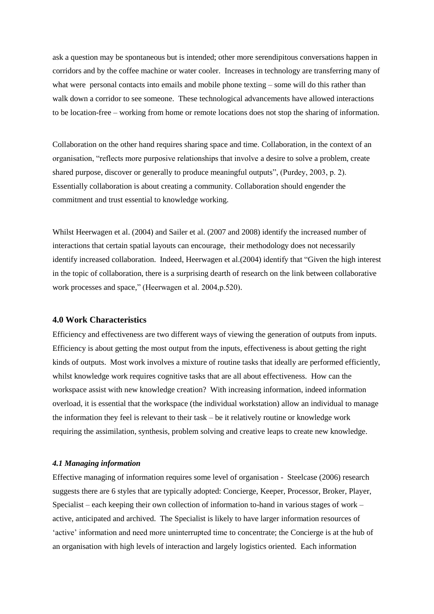ask a question may be spontaneous but is intended; other more serendipitous conversations happen in corridors and by the coffee machine or water cooler. Increases in technology are transferring many of what were personal contacts into emails and mobile phone texting – some will do this rather than walk down a corridor to see someone. These technological advancements have allowed interactions to be location-free – working from home or remote locations does not stop the sharing of information.

Collaboration on the other hand requires sharing space and time. Collaboration, in the context of an organisation, "reflects more purposive relationships that involve a desire to solve a problem, create shared purpose, discover or generally to produce meaningful outputs", (Purdey, 2003, p. 2). Essentially collaboration is about creating a community. Collaboration should engender the commitment and trust essential to knowledge working.

Whilst Heerwagen et al. (2004) and Sailer et al. (2007 and 2008) identify the increased number of interactions that certain spatial layouts can encourage, their methodology does not necessarily identify increased collaboration. Indeed, Heerwagen et al.(2004) identify that "Given the high interest in the topic of collaboration, there is a surprising dearth of research on the link between collaborative work processes and space," (Heerwagen et al. 2004,p.520).

#### **4.0 Work Characteristics**

Efficiency and effectiveness are two different ways of viewing the generation of outputs from inputs. Efficiency is about getting the most output from the inputs, effectiveness is about getting the right kinds of outputs. Most work involves a mixture of routine tasks that ideally are performed efficiently, whilst knowledge work requires cognitive tasks that are all about effectiveness. How can the workspace assist with new knowledge creation? With increasing information, indeed information overload, it is essential that the workspace (the individual workstation) allow an individual to manage the information they feel is relevant to their task – be it relatively routine or knowledge work requiring the assimilation, synthesis, problem solving and creative leaps to create new knowledge.

#### *4.1 Managing information*

Effective managing of information requires some level of organisation - Steelcase (2006) research suggests there are 6 styles that are typically adopted: Concierge, Keeper, Processor, Broker, Player, Specialist – each keeping their own collection of information to-hand in various stages of work – active, anticipated and archived. The Specialist is likely to have larger information resources of "active" information and need more uninterrupted time to concentrate; the Concierge is at the hub of an organisation with high levels of interaction and largely logistics oriented. Each information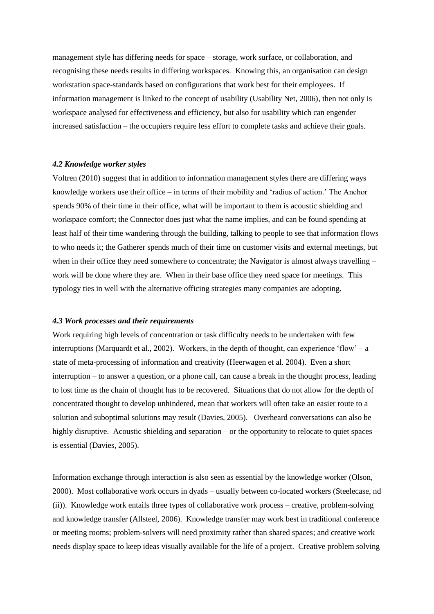management style has differing needs for space – storage, work surface, or collaboration, and recognising these needs results in differing workspaces. Knowing this, an organisation can design workstation space-standards based on configurations that work best for their employees. If information management is linked to the concept of usability (Usability Net, 2006), then not only is workspace analysed for effectiveness and efficiency, but also for usability which can engender increased satisfaction – the occupiers require less effort to complete tasks and achieve their goals.

#### *4.2 Knowledge worker styles*

Voltren (2010) suggest that in addition to information management styles there are differing ways knowledge workers use their office – in terms of their mobility and "radius of action." The Anchor spends 90% of their time in their office, what will be important to them is acoustic shielding and workspace comfort; the Connector does just what the name implies, and can be found spending at least half of their time wandering through the building, talking to people to see that information flows to who needs it; the Gatherer spends much of their time on customer visits and external meetings, but when in their office they need somewhere to concentrate; the Navigator is almost always travelling – work will be done where they are. When in their base office they need space for meetings. This typology ties in well with the alternative officing strategies many companies are adopting.

#### *4.3 Work processes and their requirements*

Work requiring high levels of concentration or task difficulty needs to be undertaken with few interruptions (Marquardt et al., 2002). Workers, in the depth of thought, can experience 'flow' – a state of meta-processing of information and creativity (Heerwagen et al. 2004). Even a short interruption – to answer a question, or a phone call, can cause a break in the thought process, leading to lost time as the chain of thought has to be recovered. Situations that do not allow for the depth of concentrated thought to develop unhindered, mean that workers will often take an easier route to a solution and suboptimal solutions may result (Davies, 2005). Overheard conversations can also be highly disruptive. Acoustic shielding and separation – or the opportunity to relocate to quiet spaces – is essential (Davies, 2005).

Information exchange through interaction is also seen as essential by the knowledge worker (Olson, 2000). Most collaborative work occurs in dyads – usually between co-located workers (Steelecase, nd (ii)). Knowledge work entails three types of collaborative work process – creative, problem-solving and knowledge transfer (Allsteel, 2006). Knowledge transfer may work best in traditional conference or meeting rooms; problem-solvers will need proximity rather than shared spaces; and creative work needs display space to keep ideas visually available for the life of a project. Creative problem solving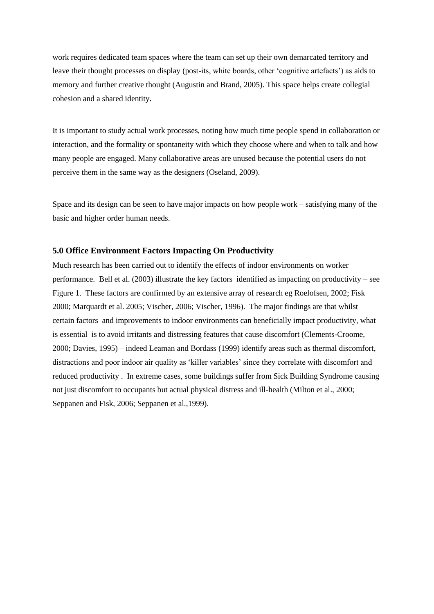work requires dedicated team spaces where the team can set up their own demarcated territory and leave their thought processes on display (post-its, white boards, other "cognitive artefacts") as aids to memory and further creative thought (Augustin and Brand, 2005). This space helps create collegial cohesion and a shared identity.

It is important to study actual work processes, noting how much time people spend in collaboration or interaction, and the formality or spontaneity with which they choose where and when to talk and how many people are engaged. Many collaborative areas are unused because the potential users do not perceive them in the same way as the designers (Oseland, 2009).

Space and its design can be seen to have major impacts on how people work – satisfying many of the basic and higher order human needs.

#### **5.0 Office Environment Factors Impacting On Productivity**

Much research has been carried out to identify the effects of indoor environments on worker performance. Bell et al. (2003) illustrate the key factors identified as impacting on productivity – see Figure 1. These factors are confirmed by an extensive array of research eg Roelofsen, 2002; Fisk 2000; Marquardt et al. 2005; Vischer, 2006; Vischer, 1996). The major findings are that whilst certain factors and improvements to indoor environments can beneficially impact productivity, what is essential is to avoid irritants and distressing features that cause discomfort (Clements-Croome, 2000; Davies, 1995) – indeed Leaman and Bordass (1999) identify areas such as thermal discomfort, distractions and poor indoor air quality as "killer variables" since they correlate with discomfort and reduced productivity . In extreme cases, some buildings suffer from Sick Building Syndrome causing not just discomfort to occupants but actual physical distress and ill-health (Milton et al., 2000; Seppanen and Fisk, 2006; Seppanen et al.,1999).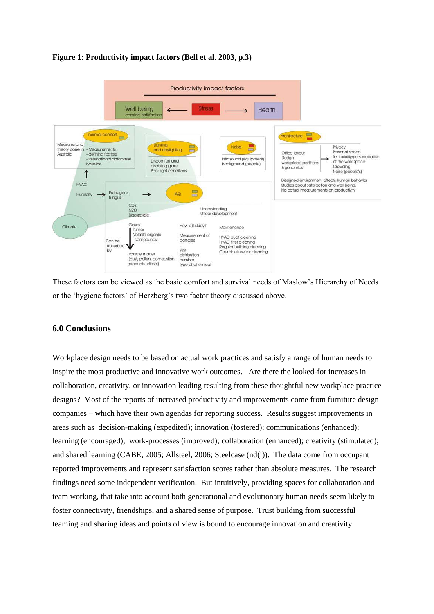

#### **Figure 1: Productivity impact factors (Bell et al. 2003, p.3)**

These factors can be viewed as the basic comfort and survival needs of Maslow"s Hierarchy of Needs or the "hygiene factors" of Herzberg"s two factor theory discussed above.

#### **6.0 Conclusions**

Workplace design needs to be based on actual work practices and satisfy a range of human needs to inspire the most productive and innovative work outcomes. Are there the looked-for increases in collaboration, creativity, or innovation leading resulting from these thoughtful new workplace practice designs? Most of the reports of increased productivity and improvements come from furniture design companies – which have their own agendas for reporting success. Results suggest improvements in areas such as decision-making (expedited); innovation (fostered); communications (enhanced); learning (encouraged); work-processes (improved); collaboration (enhanced); creativity (stimulated); and shared learning (CABE, 2005; Allsteel, 2006; Steelcase (nd(i)). The data come from occupant reported improvements and represent satisfaction scores rather than absolute measures. The research findings need some independent verification. But intuitively, providing spaces for collaboration and team working, that take into account both generational and evolutionary human needs seem likely to foster connectivity, friendships, and a shared sense of purpose. Trust building from successful teaming and sharing ideas and points of view is bound to encourage innovation and creativity.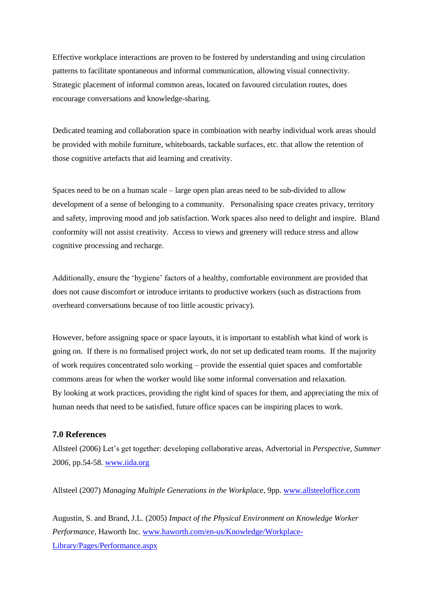Effective workplace interactions are proven to be fostered by understanding and using circulation patterns to facilitate spontaneous and informal communication, allowing visual connectivity. Strategic placement of informal common areas, located on favoured circulation routes, does encourage conversations and knowledge-sharing.

Dedicated teaming and collaboration space in combination with nearby individual work areas should be provided with mobile furniture, whiteboards, tackable surfaces, etc. that allow the retention of those cognitive artefacts that aid learning and creativity.

Spaces need to be on a human scale – large open plan areas need to be sub-divided to allow development of a sense of belonging to a community. Personalising space creates privacy, territory and safety, improving mood and job satisfaction. Work spaces also need to delight and inspire. Bland conformity will not assist creativity. Access to views and greenery will reduce stress and allow cognitive processing and recharge.

Additionally, ensure the "hygiene" factors of a healthy, comfortable environment are provided that does not cause discomfort or introduce irritants to productive workers (such as distractions from overheard conversations because of too little acoustic privacy).

However, before assigning space or space layouts, it is important to establish what kind of work is going on. If there is no formalised project work, do not set up dedicated team rooms. If the majority of work requires concentrated solo working – provide the essential quiet spaces and comfortable commons areas for when the worker would like some informal conversation and relaxation. By looking at work practices, providing the right kind of spaces for them, and appreciating the mix of human needs that need to be satisfied, future office spaces can be inspiring places to work.

#### **7.0 References**

Allsteel (2006) Let"s get together: developing collaborative areas, Advertorial in *Perspective, Summer 2006,* pp.54-58. [www.iida.org](http://www.iida.org/)

Allsteel (2007) *Managing Multiple Generations in the Workplace,* 9pp. [www.allsteeloffice.com](http://www.allsteeloffice.com/)

Augustin, S. and Brand, J.L. (2005) *Impact of the Physical Environment on Knowledge Worker Performance,* Haworth Inc. [www.haworth.com/en-us/Knowledge/Workplace-](http://www.haworth.com/en-us/Knowledge/Workplace-Library/Pages/Performance.aspx)[Library/Pages/Performance.aspx](http://www.haworth.com/en-us/Knowledge/Workplace-Library/Pages/Performance.aspx)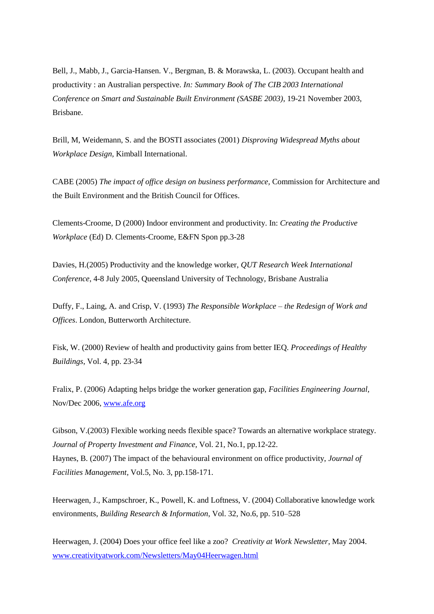Bell, J., Mabb, J., Garcia-Hansen. V., Bergman, B. & Morawska, L. (2003). Occupant health and productivity : an Australian perspective. *In: Summary Book of The CIB 2003 International Conference on Smart and Sustainable Built Environment (SASBE 2003)*, 19-21 November 2003, Brisbane.

Brill, M, Weidemann, S. and the BOSTI associates (2001) *Disproving Widespread Myths about Workplace Design,* Kimball International.

CABE (2005) *The impact of office design on business performance,* Commission for Architecture and the Built Environment and the British Council for Offices.

Clements-Croome, D (2000) Indoor environment and productivity. In: *Creating the Productive Workplace* (Ed) D. Clements-Croome, E&FN Spon pp.3-28

Davies, H.(2005) Productivity and the knowledge worker, *QUT Research Week International Conference*, 4-8 July 2005, Queensland University of Technology, Brisbane Australia

Duffy, F., Laing, A. and Crisp, V. (1993) *The Responsible Workplace – the Redesign of Work and Offices*. London, Butterworth Architecture.

Fisk, W. (2000) Review of health and productivity gains from better IEQ. *Proceedings of Healthy Buildings*, Vol. 4, pp. 23-34

Fralix, P. (2006) Adapting helps bridge the worker generation gap, *Facilities Engineering Journal,*  Nov/Dec 2006, [www.afe.org](http://www.afe.org/) 

Gibson, V.(2003) Flexible working needs flexible space? Towards an alternative workplace strategy. *Journal of Property Investment and Finance,* Vol. 21, No.1, pp.12-22. Haynes, B. (2007) The impact of the behavioural environment on office productivity, *Journal of Facilities Management,* Vol.5, No. 3, pp.158-171.

Heerwagen, J., Kampschroer, K., Powell, K. and Loftness, V. (2004) Collaborative knowledge work environments, *Building Research & Information*, Vol. 32, No.6, pp. 510–528

Heerwagen, J. (2004) Does your office feel like a zoo? *Creativity at Work Newsletter*, May 2004. [www.creativityatwork.com/Newsletters/May04Heerwagen.html](http://www.creativityatwork.com/Newsletters/May04Heerwagen.html)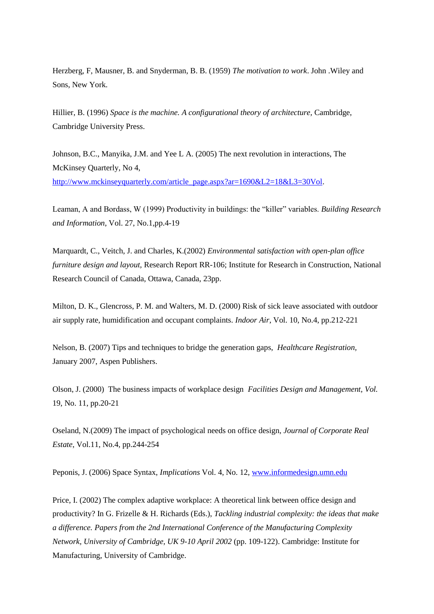Herzberg, F, Mausner, B. and Snyderman, B. B. (1959) *The motivation to work*. John .Wiley and Sons, New York.

Hillier, B. (1996) *Space is the machine. A configurational theory of architecture,* Cambridge, Cambridge University Press.

Johnson, B.C., Manyika, J.M. and Yee L A. (2005) The next revolution in interactions, The McKinsey Quarterly, No 4, [http://www.mckinseyquarterly.com/article\\_page.aspx?ar=1690&L2=18&L3=30Vol.](http://www.mckinseyquarterly.com/article_page.aspx?ar=1690&L2=18&L3=30Vol)

Leaman, A and Bordass, W (1999) Productivity in buildings: the "killer" variables. *Building Research and Information*, Vol. 27, No.1,pp.4-19

Marquardt, C., Veitch, J. and Charles, K.(2002) *Environmental satisfaction with open-plan office furniture design and layout,* Research Report RR-106; Institute for Research in Construction, National Research Council of Canada, Ottawa, Canada, 23pp.

Milton, D. K., Glencross, P. M. and Walters, M. D. (2000) Risk of sick leave associated with outdoor air supply rate, humidification and occupant complaints. *Indoor Air*, Vol. 10, No.4, pp.212-221

Nelson, B. (2007) Tips and techniques to bridge the generation gaps, *Healthcare Registration,* January 2007, Aspen Publishers.

Olson, J. (2000) The business impacts of workplace design *Facilities Design and Management, Vol.*  19, No. 11, pp.20-21

Oseland, N.(2009) The impact of psychological needs on office design, *Journal of Corporate Real Estate*, Vol.11, No.4, pp.244-254

Peponis, J. (2006) Space Syntax, *Implications* Vol. 4, No. 12, [www.informedesign.umn.edu](http://www.informedesign.umn.edu/) 

Price, I. (2002) The complex adaptive workplace: A theoretical link between office design and productivity? In G. Frizelle & H. Richards (Eds.), *Tackling industrial complexity: the ideas that make a difference. Papers from the 2nd International Conference of the Manufacturing Complexity Network, University of Cambridge, UK 9-10 April 2002* (pp. 109-122). Cambridge: Institute for Manufacturing, University of Cambridge.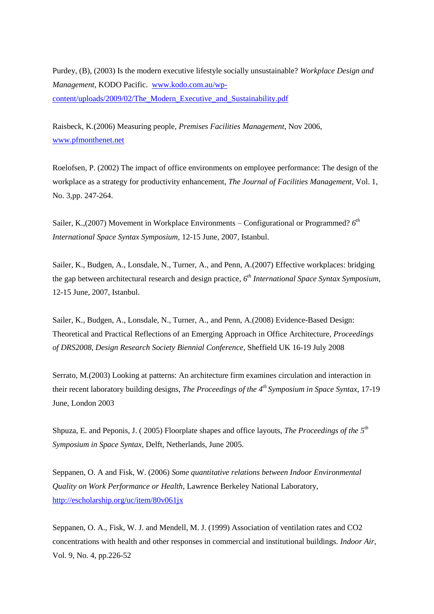Purdey, (B), (2003) Is the modern executive lifestyle socially unsustainable? *Workplace Design and Management,* KODO Pacific. [www.kodo.com.au/wp](http://www.kodo.com.au/wp-content/uploads/2009/02/The_Modern_Executive_and_Sustainability.pdf)[content/uploads/2009/02/The\\_Modern\\_Executive\\_and\\_Sustainability.pdf](http://www.kodo.com.au/wp-content/uploads/2009/02/The_Modern_Executive_and_Sustainability.pdf)

Raisbeck, K.(2006) Measuring people, *Premises Facilities Management*, Nov 2006, [www.pfmonthenet.net](http://www.pfmonthenet.net/) 

Roelofsen, P. (2002) The impact of office environments on employee performance: The design of the workplace as a strategy for productivity enhancement, *The Journal of Facilities Management*, Vol. 1, No. 3,pp. 247-264.

Sailer, K.,(2007) Movement in Workplace Environments – Configurational or Programmed?  $6<sup>th</sup>$ *International Space Syntax Symposium,* 12-15 June, 2007, Istanbul.

Sailer, K., Budgen, A., Lonsdale, N., Turner, A., and Penn, A.(2007) Effective workplaces: bridging the gap between architectural research and design practice, *6 th International Space Syntax Symposium,*  12-15 June, 2007, Istanbul.

Sailer, K., Budgen, A., Lonsdale, N., Turner, A., and Penn, A.(2008) Evidence-Based Design: Theoretical and Practical Reflections of an Emerging Approach in Office Architecture, *Proceedings of DRS2008, Design Research Society Biennial Conference,* Sheffield UK 16-19 July 2008

Serrato, M.(2003) Looking at patterns: An architecture firm examines circulation and interaction in their recent laboratory building designs, *The Proceedings of the 4th Symposium in Space Syntax,* 17-19 June, London 2003

Shpuza, E. and Peponis, J. ( 2005) Floorplate shapes and office layouts, *The Proceedings of the 5th Symposium in Space Syntax,* Delft, Netherlands, June 2005.

Seppanen, O. A and Fisk, W. (2006) *Some quantitative relations between Indoor Environmental Quality on Work Performance or Health,* Lawrence Berkeley National Laboratory, <http://escholarship.org/uc/item/80v061jx>

Seppanen, O. A., Fisk, W. J. and Mendell, M. J. (1999) Association of ventilation rates and CO2 concentrations with health and other responses in commercial and institutional buildings. *Indoor Air,*  Vol. 9, No. 4, pp.226-52